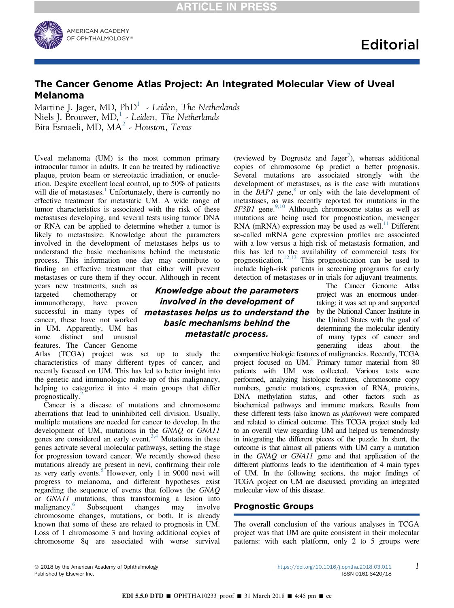

# The Cancer Genome Atlas Project: An Integrated Molecular View of Uveal Melanoma

Martine J. Jager, MD,  $PhD<sup>1</sup>$  - Leiden, The Netherlands Niels J. Brouwer, MD,<sup>1</sup> - Leiden, The Netherlands Bita Esmaeli, MD,  $MA^2$  - Houston, Texas

Uveal melanoma (UM) is the most common primary intraocular tumor in adults. It can be treated by radioactive plaque, proton beam or stereotactic irradiation, or enucleation. Despite excellent local control, up to 50% of patients will die of metastases.<sup>[1](#page-3-0)</sup> Unfortunately, there is currently no effective treatment for metastatic UM. A wide range of tumor characteristics is associated with the risk of these metastases developing, and several tests using tumor DNA or RNA can be applied to determine whether a tumor is likely to metastasize. Knowledge about the parameters involved in the development of metastases helps us to understand the basic mechanisms behind the metastatic process. This information one day may contribute to finding an effective treatment that either will prevent metastases or cure them if they occur. Although in recent

years new treatments, such as targeted chemotherapy or immunotherapy, have proven successful in many types of cancer, these have not worked in UM. Apparently, UM has some distinct and unusual features. The Cancer Genome

Atlas (TCGA) project was set up to study the characteristics of many different types of cancer, and recently focused on UM. This has led to better insight into the genetic and immunologic make-up of this malignancy, helping to categorize it into 4 main groups that differ prognostically. $\overline{2}$  $\overline{2}$  $\overline{2}$ 

Cancer is a disease of mutations and chromosome aberrations that lead to uninhibited cell division. Usually, multiple mutations are needed for cancer to develop. In the development of UM, mutations in the GNAQ or GNA11 genes are considered an early event.<sup>[3,4](#page-3-0)</sup> Mutations in these genes activate several molecular pathways, setting the stage for progression toward cancer. We recently showed these mutations already are present in nevi, confirming their role as very early events.<sup>[5](#page-3-0)</sup> However, only 1 in 9000 nevi will progress to melanoma, and different hypotheses exist regarding the sequence of events that follows the GNAQ or GNA11 mutations, thus transforming a lesion into malignancy.<sup>[6](#page-3-0)</sup> Subsequent changes may involve chromosome changes, mutations, or both. It is already known that some of these are related to prognosis in UM. Loss of 1 chromosome 3 and having additional copies of chromosome 8q are associated with worse survival

Knowledge about the parameters involved in the development of metastases helps us to understand the basic mechanisms behind the metastatic process.

(reviewed by Dogrusöz and Jager<sup>[7](#page-3-0)</sup>), whereas additional copies of chromosome 6p predict a better prognosis. Several mutations are associated strongly with the development of metastases, as is the case with mutations in the  $BAP1$  gene,<sup>[8](#page-3-0)</sup> or only with the late development of metastases, as was recently reported for mutations in the  $SF3B1$  gene.<sup>[9,10](#page-3-0)</sup> Although chromosome status as well as mutations are being used for prognostication, messenger RNA (mRNA) expression may be used as well. $^{11}$  $^{11}$  $^{11}$  Different so-called mRNA gene expression profiles are associated with a low versus a high risk of metastasis formation, and this has led to the availability of commercial tests for prognostication. $12,13$  This prognostication can be used to include high-risk patients in screening programs for early detection of metastases or in trials for adjuvant treatments.

The Cancer Genome Atlas project was an enormous undertaking; it was set up and supported by the National Cancer Institute in the United States with the goal of determining the molecular identity of many types of cancer and generating ideas about the

comparative biologic features of malignancies. Recently, TCGA project focused on UM.<sup>[2](#page-3-0)</sup> Primary tumor material from 80 patients with UM was collected. Various tests were performed, analyzing histologic features, chromosome copy numbers, genetic mutations, expression of RNA, proteins, DNA methylation status, and other factors such as biochemical pathways and immune markers. Results from these different tests (also known as platforms) were compared and related to clinical outcome. This TCGA project study led to an overall view regarding UM and helped us tremendously in integrating the different pieces of the puzzle. In short, the outcome is that almost all patients with UM carry a mutation in the GNAQ or GNA11 gene and that application of the different platforms leads to the identification of 4 main types of UM. In the following sections, the major findings of TCGA project on UM are discussed, providing an integrated molecular view of this disease.

# Prognostic Groups

The overall conclusion of the various analyses in TCGA project was that UM are quite consistent in their molecular patterns: with each platform, only 2 to 5 groups were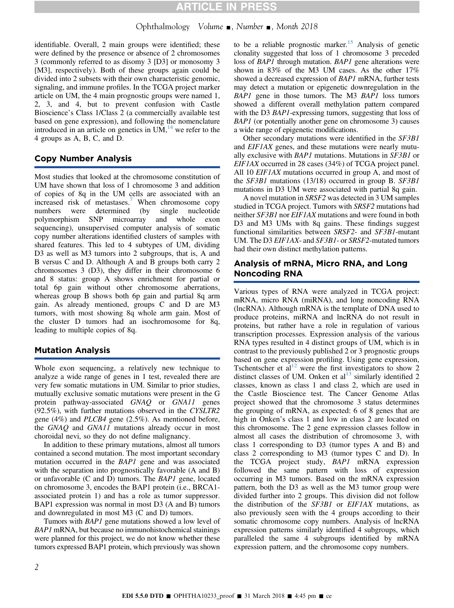# Ophthalmology Volume , Number , Month 2018

identifiable. Overall, 2 main groups were identified; these were defined by the presence or absence of 2 chromosomes 3 (commonly referred to as disomy 3 [D3] or monosomy 3 [M3], respectively). Both of these groups again could be divided into 2 subsets with their own characteristic genomic, signaling, and immune profiles. In the TCGA project marker article on UM, the 4 main prognostic groups were named 1, 2, 3, and 4, but to prevent confusion with Castle Bioscience's Class 1/Class 2 (a commercially available test based on gene expression), and following the nomenclature introduced in an article on genetics in  $UM<sub>14</sub><sup>14</sup>$  $UM<sub>14</sub><sup>14</sup>$  $UM<sub>14</sub><sup>14</sup>$  we refer to the 4 groups as A, B, C, and D.

# Copy Number Analysis

Most studies that looked at the chromosome constitution of UM have shown that loss of 1 chromosome 3 and addition of copies of 8q in the UM cells are associated with an increased risk of metastases.<sup>[7](#page-3-0)</sup> When chromosome copy numbers were determined (by single nucleotide polymorphism SNP microarray and whole exon sequencing), unsupervised computer analysis of somatic copy number alterations identified clusters of samples with shared features. This led to 4 subtypes of UM, dividing D3 as well as M3 tumors into 2 subgroups, that is, A and B versus C and D. Although A and B groups both carry 2 chromosomes 3 (D3), they differ in their chromosome 6 and 8 status: group A shows enrichment for partial or total 6p gain without other chromosome aberrations, whereas group B shows both 6p gain and partial 8q arm gain. As already mentioned, groups C and D are M3 tumors, with most showing 8q whole arm gain. Most of the cluster D tumors had an isochromosome for 8q, leading to multiple copies of 8q.

# Mutation Analysis

Whole exon sequencing, a relatively new technique to analyze a wide range of genes in 1 test, revealed there are very few somatic mutations in UM. Similar to prior studies, mutually exclusive somatic mutations were present in the G protein pathway-associated GNAQ or GNA11 genes (92.5%), with further mutations observed in the CYSLTR2 gene (4%) and PLCB4 gene (2.5%). As mentioned before, the GNAQ and GNA11 mutations already occur in most choroidal nevi, so they do not define malignancy.

In addition to these primary mutations, almost all tumors contained a second mutation. The most important secondary mutation occurred in the BAP1 gene and was associated with the separation into prognostically favorable (A and B) or unfavorable (C and D) tumors. The BAP1 gene, located on chromosome 3, encodes the BAP1 protein (i.e., BRCA1 associated protein 1) and has a role as tumor suppressor. BAP1 expression was normal in most D3 (A and B) tumors and downregulated in most M3 (C and D) tumors.

Tumors with BAP1 gene mutations showed a low level of BAP1 mRNA, but because no immunohistochemical stainings were planned for this project, we do not know whether these tumors expressed BAP1 protein, which previously was shown

to be a reliable prognostic marker.<sup>[15](#page-3-0)</sup> Analysis of genetic clonality suggested that loss of 1 chromosome 3 preceded loss of BAP1 through mutation. BAP1 gene alterations were shown in 83% of the M3 UM cases. As the other 17% showed a decreased expression of BAP1 mRNA, further tests may detect a mutation or epigenetic downregulation in the BAP1 gene in those tumors. The M3 BAP1 loss tumors showed a different overall methylation pattern compared with the D3 BAP1-expressing tumors, suggesting that loss of BAP1 (or potentially another gene on chromosome 3) causes a wide range of epigenetic modifications.

Other secondary mutations were identified in the SF3B1 and *EIF1AX* genes, and these mutations were nearly mutually exclusive with BAP1 mutations. Mutations in SF3B1 or EIF1AX occurred in 28 cases (34%) of TCGA project panel. All 10 *EIF1AX* mutations occurred in group A, and most of the SF3B1 mutations (13/18) occurred in group B. SF3B1 mutations in D3 UM were associated with partial 8q gain.

A novel mutation in SRSF2 was detected in 3 UM samples studied in TCGA project. Tumors with SRSF2 mutations had neither SF3B1 nor EIF1AX mutations and were found in both D3 and M3 UMs with 8q gains. These findings suggest functional similarities between SRSF2- and SF3B1-mutant UM. The D3 EIF1AX- and SF3B1- or SRSF2-mutated tumors had their own distinct methylation patterns.

# Analysis of mRNA, Micro RNA, and Long Noncoding RNA

Various types of RNA were analyzed in TCGA project: mRNA, micro RNA (miRNA), and long noncoding RNA (lncRNA). Although mRNA is the template of DNA used to produce proteins, miRNA and lncRNA do not result in proteins, but rather have a role in regulation of various transcription processes. Expression analysis of the various RNA types resulted in 4 distinct groups of UM, which is in contrast to the previously published 2 or 3 prognostic groups based on gene expression profiling. Using gene expression, Tschentscher et  $a^{12}$  were the first investigators to show 2 distinct classes of UM. Onken et  $al<sup>13</sup>$  $al<sup>13</sup>$  $al<sup>13</sup>$  similarly identified 2 classes, known as class 1 and class 2, which are used in the Castle Bioscience test. The Cancer Genome Atlas project showed that the chromosome 3 status determines the grouping of mRNA, as expected: 6 of 8 genes that are high in Onken's class 1 and low in class 2 are located on this chromosome. The 2 gene expression classes follow in almost all cases the distribution of chromosome 3, with class 1 corresponding to D3 (tumor types A and B) and class 2 corresponding to M3 (tumor types C and D). In the TCGA project study, BAP1 mRNA expression followed the same pattern with loss of expression occurring in M3 tumors. Based on the mRNA expression pattern, both the D3 as well as the M3 tumor group were divided further into 2 groups. This division did not follow the distribution of the SF3B1 or EIF1AX mutations, as also previously seen with the 4 groups according to their somatic chromosome copy numbers. Analysis of lncRNA expression patterns similarly identified 4 subgroups, which paralleled the same 4 subgroups identified by mRNA expression pattern, and the chromosome copy numbers.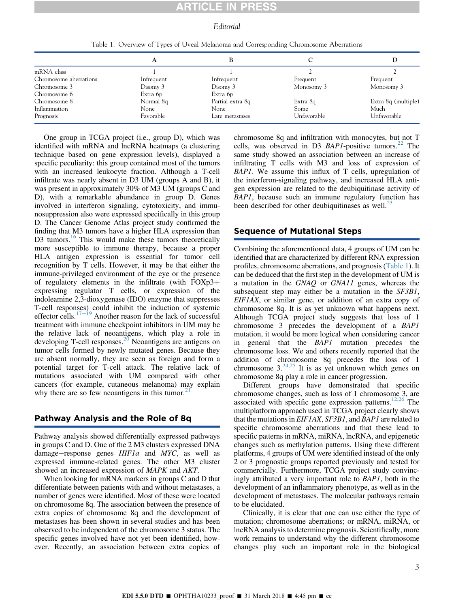# CLE IN PRE

### Editorial

|                        |            | в                |             |                     |
|------------------------|------------|------------------|-------------|---------------------|
| mRNA class             |            |                  |             |                     |
| Chromosome aberrations | Infrequent | Infrequent       | Frequent    | Frequent            |
| Chromosome 3           | Disomy 3   | Disomy 3         | Monosomy 3  | Monosomy 3          |
| Chromosome 6           | Extra 6p   | Extra 6p         |             |                     |
| Chromosome 8           | Normal 8q  | Partial extra 8q | Extra 8q    | Extra 8q (multiple) |
| Inflammation           | None       | None             | Some        | Much                |
| Prognosis              | Favorable  | Late metastases  | Unfavorable | Unfavorable         |

Table 1. Overview of Types of Uveal Melanoma and Corresponding Chromosome Aberrations

One group in TCGA project (i.e., group D), which was identified with mRNA and lncRNA heatmaps (a clustering technique based on gene expression levels), displayed a specific peculiarity: this group contained most of the tumors with an increased leukocyte fraction. Although a T-cell infiltrate was nearly absent in D3 UM (groups A and B), it was present in approximately 30% of M3 UM (groups C and D), with a remarkable abundance in group D. Genes involved in interferon signaling, cytotoxicity, and immunosuppression also were expressed specifically in this group D. The Cancer Genome Atlas project study confirmed the finding that M3 tumors have a higher HLA expression than D3 tumors.<sup>[16](#page-3-0)</sup> This would make these tumors theoretically more susceptible to immune therapy, because a proper HLA antigen expression is essential for tumor cell recognition by T cells. However, it may be that either the immune-privileged environment of the eye or the presence of regulatory elements in the infiltrate (with  $FOXp3+$ expressing regulator T cells, or expression of the indoleamine 2,3-dioxygenase (IDO) enzyme that suppresses T-cell responses) could inhibit the induction of systemic effector cells. $17-19$  $17-19$  $17-19$  Another reason for the lack of successful treatment with immune checkpoint inhibitors in UM may be the relative lack of neoantigens, which play a role in developing T-cell responses.<sup>[20](#page-3-0)</sup> Neoantigens are antigens on tumor cells formed by newly mutated genes. Because they are absent normally, they are seen as foreign and form a potential target for T-cell attack. The relative lack of mutations associated with UM compared with other cancers (for example, cutaneous melanoma) may explain why there are so few neoantigens in this tumor. $2$ 

# Pathway Analysis and the Role of 8q

Pathway analysis showed differentially expressed pathways in groups C and D. One of the 2 M3 clusters expressed DNA damage-response genes  $HIF1a$  and MYC, as well as expressed immune-related genes. The other M3 cluster showed an increased expression of MAPK and AKT.

When looking for mRNA markers in groups C and D that differentiate between patients with and without metastases, a number of genes were identified. Most of these were located on chromosome 8q. The association between the presence of extra copies of chromosome 8q and the development of metastases has been shown in several studies and has been observed to be independent of the chromosome 3 status. The specific genes involved have not yet been identified, however. Recently, an association between extra copies of chromosome 8q and infiltration with monocytes, but not T cells, was observed in D3  $BAP1$ -positive tumors.<sup>[22](#page-3-0)</sup> The same study showed an association between an increase of infiltrating T cells with M3 and loss of expression of BAP1. We assume this influx of T cells, upregulation of the interferon-signaling pathway, and increased HLA antigen expression are related to the deubiquitinase activity of BAP1, because such an immune regulatory function has been described for other deubiquitinases as well.<sup>2</sup>

#### Sequence of Mutational Steps

Combining the aforementioned data, 4 groups of UM can be identified that are characterized by different RNA expression profiles, chromosome aberrations, and prognosis (Table 1). It can be deduced that the first step in the development of UM is a mutation in the GNAQ or GNA11 genes, whereas the subsequent step may either be a mutation in the SF3B1, EIF1AX, or similar gene, or addition of an extra copy of chromosome 8q. It is as yet unknown what happens next. Although TCGA project study suggests that loss of 1 chromosome 3 precedes the development of a BAP1 mutation, it would be more logical when considering cancer in general that the BAP1 mutation precedes the chromosome loss. We and others recently reported that the addition of chromosome 8q precedes the loss of 1 chromosome  $3.^{24,25}$  $3.^{24,25}$  $3.^{24,25}$  It is as yet unknown which genes on chromosome 8q play a role in cancer progression.

Different groups have demonstrated that specific chromosome changes, such as loss of 1 chromosome 3, are associated with specific gene expression patterns.<sup>[12,26](#page-3-0)</sup> The multiplatform approach used in TCGA project clearly shows that the mutations in EIF1AX, SF3B1, and BAP1 are related to specific chromosome aberrations and that these lead to specific patterns in mRNA, miRNA, lncRNA, and epigenetic changes such as methylation patterns. Using these different platforms, 4 groups of UM were identified instead of the only 2 or 3 prognostic groups reported previously and tested for commercially. Furthermore, TCGA project study convincingly attributed a very important role to BAP1, both in the development of an inflammatory phenotype, as well as in the development of metastases. The molecular pathways remain to be elucidated.

Clinically, it is clear that one can use either the type of mutation; chromosome aberrations; or mRNA, miRNA, or lncRNA analysis to determine prognosis. Scientifically, more work remains to understand why the different chromosome changes play such an important role in the biological